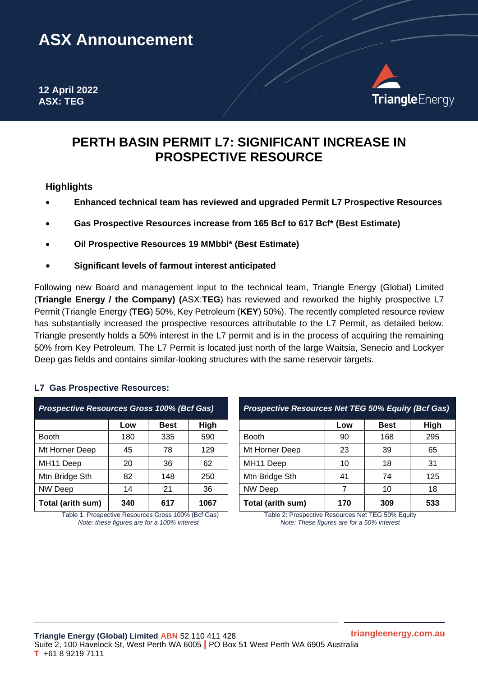# **ASX Announcement**

**12 April 2022 ASX: TEG**



# **PERTH BASIN PERMIT L7: SIGNIFICANT INCREASE IN PROSPECTIVE RESOURCE**

## **Highlights**

- **Enhanced technical team has reviewed and upgraded Permit L7 Prospective Resources**
- **Gas Prospective Resources increase from 165 Bcf to 617 Bcf\* (Best Estimate)**
- **Oil Prospective Resources 19 MMbbl\* (Best Estimate)**
- **Significant levels of farmout interest anticipated**

Following new Board and management input to the technical team, Triangle Energy (Global) Limited (**Triangle Energy / the Company) (**ASX:**TEG**) has reviewed and reworked the highly prospective L7 Permit (Triangle Energy (**TEG**) 50%, Key Petroleum (**KEY**) 50%). The recently completed resource review has substantially increased the prospective resources attributable to the L7 Permit, as detailed below. Triangle presently holds a 50% interest in the L7 permit and is in the process of acquiring the remaining 50% from Key Petroleum. The L7 Permit is located just north of the large Waitsia, Senecio and Lockyer Deep gas fields and contains similar-looking structures with the same reservoir targets.

### **L7 Gas Prospective Resources:**

| <b>Prospective Resources Gross 100% (Bcf Gas)</b> |     |             |      |  |  |
|---------------------------------------------------|-----|-------------|------|--|--|
|                                                   | Low | <b>Best</b> | High |  |  |
| <b>Booth</b>                                      | 180 | 335         | 590  |  |  |
| Mt Horner Deep                                    | 45  | 78          | 129  |  |  |
| MH11 Deep                                         | 20  | 36          | 62   |  |  |
| Mtn Bridge Sth                                    | 82  | 148         | 250  |  |  |
| <b>NW Deep</b>                                    | 14  | 21          | 36   |  |  |
| Total (arith sum)                                 | 340 | 617         | 1067 |  |  |

Table 1: Prospective Resources Gross 100% (Bcf Gas) Table 2: Prospective Resources Net TEG 50% Equity<br>Note: these figures are for a 100% interest<br>Note: These figures are for a 50% interest *Note: these figures are for a 100% interest* 

| <b>Prospective Resources Gross 100% (Bcf Gas)</b> |     | <b>Prospective Resources Net TEG 50% Equity (Bcf Gas)</b> |      |                       |     |             |             |
|---------------------------------------------------|-----|-----------------------------------------------------------|------|-----------------------|-----|-------------|-------------|
|                                                   | Low | <b>Best</b>                                               | High |                       | Low | <b>Best</b> | <b>High</b> |
| Booth                                             | 180 | 335                                                       | 590  | <b>Booth</b>          | 90  | 168         | 295         |
| Mt Horner Deep                                    | 45  | 78                                                        | 129  | Mt Horner Deep        | 23  | 39          | 65          |
| MH11 Deep                                         | 20  | 36                                                        | 62   | MH <sub>11</sub> Deep | 10  | 18          | 31          |
| Mtn Bridge Sth                                    | 82  | 148                                                       | 250  | Mtn Bridge Sth        | 41  | 74          | 125         |
| NW Deep                                           | 14  | 21                                                        | 36   | <b>NW Deep</b>        |     | 10          | 18          |
| Total (arith sum)                                 | 340 | 617                                                       | 1067 | Total (arith sum)     | 170 | 309         | 533         |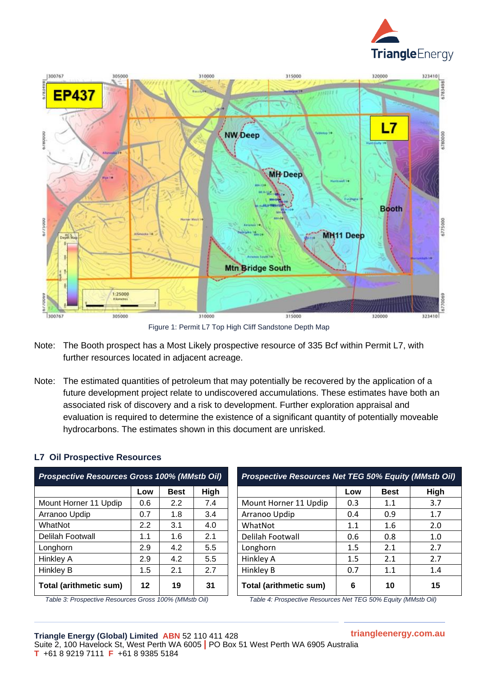



Figure 1: Permit L7 Top High Cliff Sandstone Depth Map

- Note: The Booth prospect has a Most Likely prospective resource of 335 Bcf within Permit L7, with further resources located in adjacent acreage.
- Note: The estimated quantities of petroleum that may potentially be recovered by the application of a future development project relate to undiscovered accumulations. These estimates have both an associated risk of discovery and a risk to development. Further exploration appraisal and evaluation is required to determine the existence of a significant quantity of potentially moveable hydrocarbons. The estimates shown in this document are unrisked.

| <b>Prospective Resources Gross 100% (MMstb Oil)</b> |     |             |      |  |  |  |
|-----------------------------------------------------|-----|-------------|------|--|--|--|
|                                                     | Low | <b>Best</b> | High |  |  |  |
| Mount Horner 11 Updip                               | 0.6 | 2.2         | 7.4  |  |  |  |
| Arranoo Updip                                       | 0.7 | 1.8         | 3.4  |  |  |  |
| WhatNot                                             | 2.2 | 3.1         | 4.0  |  |  |  |
| <b>Delilah Footwall</b>                             | 1.1 | 1.6         | 2.1  |  |  |  |
| Longhorn                                            | 2.9 | 4.2         | 5.5  |  |  |  |
| <b>Hinkley A</b>                                    | 2.9 | 4.2         | 5.5  |  |  |  |
| Hinkley B                                           | 1.5 | 2.1         | 2.7  |  |  |  |
| Total (arithmetic sum)                              | 12  | 19          | 31   |  |  |  |

### **L7 Oil Prospective Resources**

| Table 3: Prospective Resources Gross 100% (MMstb Oil) |  |
|-------------------------------------------------------|--|
|-------------------------------------------------------|--|

| <b>Prospective Resources Gross 100% (MMstb Oil)</b> |         |             |             | <b>Prospective Resources Net TEG 50% Equity (MMstb Oil)</b> |         |             |      |
|-----------------------------------------------------|---------|-------------|-------------|-------------------------------------------------------------|---------|-------------|------|
|                                                     | Low     | <b>Best</b> | <b>High</b> |                                                             | Low     | <b>Best</b> | High |
| Mount Horner 11 Updip                               | 0.6     | 2.2         | 7.4         | Mount Horner 11 Updip                                       | 0.3     | 1.1         | 3.7  |
| Arranoo Updip                                       | 0.7     | 1.8         | 3.4         | Arranoo Updip                                               | 0.4     | 0.9         | 1.7  |
| WhatNot                                             | 2.2     | 3.1         | 4.0         | WhatNot                                                     | 1.1     | 1.6         | 2.0  |
| Delilah Footwall                                    | 1.1     | 1.6         | 2.1         | Delilah Footwall                                            | 0.6     | 0.8         | 1.0  |
| Longhorn                                            | 2.9     | 4.2         | 5.5         | Longhorn                                                    | $1.5\,$ | 2.1         | 2.7  |
| Hinkley A                                           | 2.9     | 4.2         | 5.5         | Hinkley A                                                   | 1.5     | 2.1         | 2.7  |
| Hinkley B                                           | 1.5     | 2.1         | 2.7         | Hinkley B                                                   | 0.7     | 1.1         | 1.4  |
| Total (arithmetic sum)                              | $12 \,$ | 19          | 31          | <b>Total (arithmetic sum)</b>                               | 6       | 10          | 15   |

*Table 4: Prospective Resources Net TEG 50% Equity (MMstb Oil)*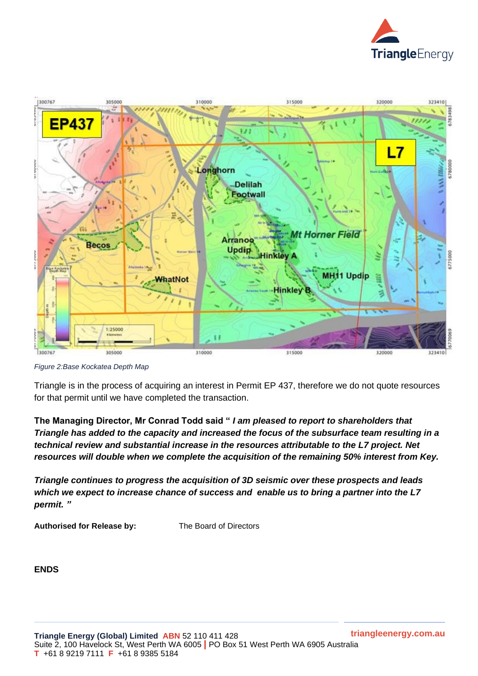



*Figure 2:Base Kockatea Depth Map*

Triangle is in the process of acquiring an interest in Permit EP 437, therefore we do not quote resources for that permit until we have completed the transaction.

**The Managing Director, Mr Conrad Todd said "** *I am pleased to report to shareholders that Triangle has added to the capacity and increased the focus of the subsurface team resulting in a technical review and substantial increase in the resources attributable to the L7 project. Net resources will double when we complete the acquisition of the remaining 50% interest from Key.*

*Triangle continues to progress the acquisition of 3D seismic over these prospects and leads which we expect to increase chance of success and enable us to bring a partner into the L7 permit. "*

**Authorised for Release by:** The Board of Directors

**ENDS**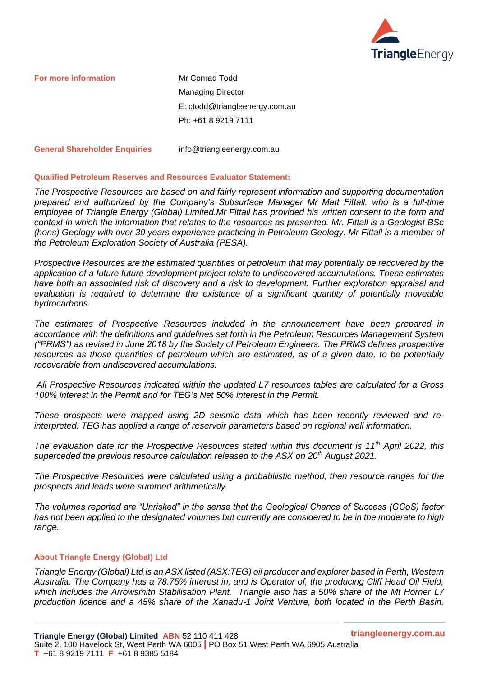

**For more information Mr Conrad Todd** 

Managing Director E: ctodd@triangleenergy.com.au Ph: +61 8 9219 7111

**General Shareholder Enquiries** info@triangleenergy.com.au

#### **Qualified Petroleum Reserves and Resources Evaluator Statement:**

*The Prospective Resources are based on and fairly represent information and supporting documentation prepared and authorized by the Company's Subsurface Manager Mr Matt Fittall, who is a full-time employee of Triangle Energy (Global) Limited.Mr Fittall has provided his written consent to the form and context in which the information that relates to the resources as presented. Mr. Fittall is a Geologist BSc (hons) Geology with over 30 years experience practicing in Petroleum Geology. Mr Fittall is a member of the Petroleum Exploration Society of Australia (PESA).*

*Prospective Resources are the estimated quantities of petroleum that may potentially be recovered by the application of a future future development project relate to undiscovered accumulations. These estimates have both an associated risk of discovery and a risk to development. Further exploration appraisal and evaluation is required to determine the existence of a significant quantity of potentially moveable hydrocarbons.*

*The estimates of Prospective Resources included in the announcement have been prepared in accordance with the definitions and guidelines set forth in the Petroleum Resources Management System ("PRMS") as revised in June 2018 by the Society of Petroleum Engineers. The PRMS defines prospective resources as those quantities of petroleum which are estimated, as of a given date, to be potentially recoverable from undiscovered accumulations.*

*All Prospective Resources indicated within the updated L7 resources tables are calculated for a Gross 100% interest in the Permit and for TEG's Net 50% interest in the Permit.* 

*These prospects were mapped using 2D seismic data which has been recently reviewed and reinterpreted. TEG has applied a range of reservoir parameters based on regional well information.*

*The evaluation date for the Prospective Resources stated within this document is 11th April 2022, this superceded the previous resource calculation released to the ASX on 20th August 2021.*

*The Prospective Resources were calculated using a probabilistic method, then resource ranges for the prospects and leads were summed arithmetically.*

*The volumes reported are "Unrisked" in the sense that the Geological Chance of Success (GCoS) factor has not been applied to the designated volumes but currently are considered to be in the moderate to high range.*

#### **About Triangle Energy (Global) Ltd**

*Triangle Energy (Global) Ltd is an ASX listed (ASX:TEG) oil producer and explorer based in Perth, Western Australia. The Company has a 78.75% interest in, and is Operator of, the producing Cliff Head Oil Field, which includes the Arrowsmith Stabilisation Plant. Triangle also has a 50% share of the Mt Horner L7 production licence and a 45% share of the Xanadu-1 Joint Venture, both located in the Perth Basin.*